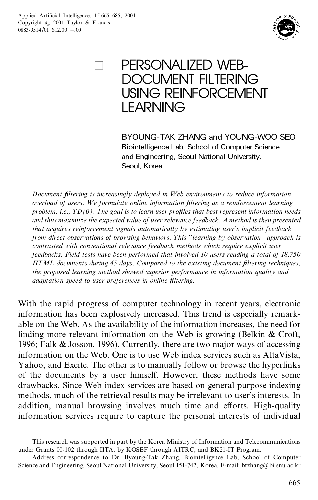

PERSONALIZED WEB-DOCUMENT FILTERING USING REINFORCEMENT LEARNING

> BYOUNG-TAK ZHANG and YOUNG-WOO SEO Biointelligence Lab, School of Computer Science and Engineering, Seoul National University, Seoul, Korea

*Document ®ltering is increasingly deployed in W eb environments to reduce information overload of users. W e formulate online information ®ltering as a reinforcement learning problem, i.e., TD(0). The goal is to learn user pro®les that best represent information needs and thus maximize the expected value of user relevance feedback. A method is then presented that acquires reinforcement signals automatically by estimating user's implicit feedback from direct observations of browsing behaviors. This ``learning by observation' ' approach is contrasted with conventional relevance feedback methods which require explicit user feedbacks. Field tests have been performed that involved 10 users reading a total of 18,750 HTML documents during 45 days. Compared to the existing document ®ltering techniques, the proposed learning method showed superior performance in information quality and adaptation speed to user preferences in online ®ltering.*

With the rapid progress of computer technology in recent years, electronic information has been explosively increased. This trend is especially remark able on the Web. As the availability of the information increases, the need for finding more relevant information on the Web is growing (Belkin  $&$  Croft, 1996; Falk & Josson, 1996). Currently, there are two major ways of accessing information on the Web. One is to use Web index services such as AltaVista, Yahoo, and Excite. The other is to manually follow or browse the hyperlinks of the documents by a user himself. However, these methods have some drawbacks. Since Web-index services are based on general purpose indexing methods, much of the retrieval results may be irrelevant to user's interests. In addition, manual browsing involves much time and efforts. High-quality information services require to capture the personal interests of individual

This research was supported in part by the Korea Ministry of Information and Telecommunications under Grants 00-102 through IITA, by KOSEF through AITRC, and BK21-IT Program.

Address correspondence to Dr. Byoung-Tak Zhang, Biointelligence Lab, School of Computer Science and Engineering, Seoul National University, Seoul 151-742, Korea. E-mail: btzhang@bi.snu.ac.kr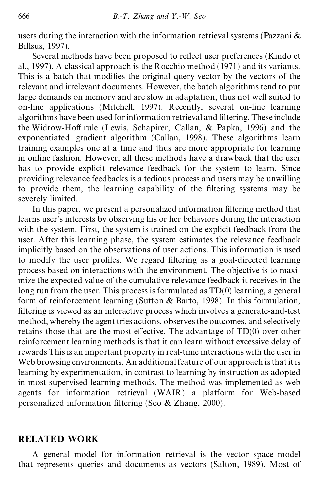users during the interaction with the information retrieval systems (Pazzani & Billsus, 1997).

Several methods have been proposed to reflect user preferences (Kindo et al., 1997). A classical approach is the Rocchio method (1971) and its variants. This is a batch that modifies the original query vector by the vectors of the relevant and irrelevant documents. However, the batch algorithms tend to put large demands on memory and are slow in adaptation, thus not well suited to on-line applications (Mitchell, 1997). Recently, several on-line learning algorithms have been used for information retrieval and filtering. These include the Widrow-Hoff rule (Lewis, Schapirer, Callan,  $\&$  Papka, 1996) and the exponentiated gradient algorithm (Callan, 1998). These algorithms learn training examples one at a time and thus are more appropriate for learning in online fashion. However, all these methods have a drawback that the user has to provide explicit relevance feedback for the system to learn. Since providing relevance feedbacks is a tedious process and users may be unwilling to provide them, the learning capability of the filtering systems may be severely limited.

In this paper, we present a personalized information filtering method that learns user's interests by observing his or her behaviors during the interaction with the system. First, the system is trained on the explicit feedback from the user. After this learning phase, the system estimates the relevance feedback implicitly based on the observations of user actions. This information is used to modify the user profiles. We regard filtering as a goal-directed learning process based on interactions with the environment. The objective is to maxi mize the expected value of the cumulative relevance feedback it receives in the long run from the user. This process is formulated as TD(0) learning, a general form of reinforcement learning (Sutton & Barto, 1998). In this formulation, filtering is viewed as an interactive process which involves a generate-and-test method, whereby the agent tries actions, observes the outcomes, and selectively retains those that are the most effective. The advantage of  $TD(0)$  over other reinforcement learning methods is that it can learn without excessive delay of rewards This is an important property in real-time interactions with the user in Web browsing environments. An additional feature of our approach is that it is learning by experimentation, in contrast to learning by instruction as adopted in most supervised learning methods. The method was implemented as web agents for information retrieval (WAIR) a platform for Web-based personalized information filtering (Seo  $&$  Zhang, 2000).

### **RELATED WORK**

A general model for information retrieval is the vector space model that represents queries and documents as vectors (Salton, 1989). Most of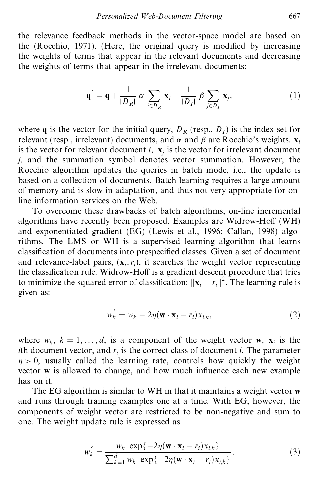the relevance feedback methods in the vector-space model are based on the (Rocchio, 1971). (Here, the original query is modified by increasing the weights of terms that appear in the relevant documents and decreasing the weights of terms that appear in the irrelevant documents:

$$
\mathbf{q}' = \mathbf{q} + \frac{1}{|D_R|} \alpha \sum_{i \in D_R} \mathbf{x}_i - \frac{1}{|D_I|} \beta \sum_{j \in D_I} \mathbf{x}_j, \tag{1}
$$

where **q** is the vector for the initial query,  $D_R$  (resp.,  $D_I$ ) is the index set for relevant (resp., irrelevant) documents, and  $\alpha$  and  $\beta$  are Rocchio's weights. **x**<sub>*i*</sub> is the vector for relevant document  $i$ ,  $\mathbf{x}_i$  is the vector for irrelevant document *j*, and the summation symbol denotes vector summation. However, the Rocchio algorithm updates the queries in batch mode, i.e., the update is based on a collection of documents. Batch learning requires a large amount of memory and is slow in adaptation, and thus not very appropriate for online information services on the Web.

To overcome these drawbacks of batch algorithms, on-line incremental algorithms have recently been proposed. Examples are Widrow-Hoff (WH) and exponentiated gradient (EG) (Lewis et al., 1996; Callan, 1998) algo rithms. The LMS or WH is a supervised learning algorithm that learns classification of documents into prespecified classes. Given a set of document and relevance-label pairs,  $(\mathbf{x}_i, r_i)$ , it searches the weight vector representing the classification rule. Widrow-Hoff is a gradient descent procedure that tries to minimize the squared error of classification:  $||\mathbf{x}_i - r_i||^2$ . The learning rule is given as:

$$
w'_{k} = w_{k} - 2\eta (\mathbf{w} \cdot \mathbf{x}_{i} - r_{i})x_{i,k},
$$
\n(2)

where  $w_k$ ,  $k = 1, ..., d$ , is a component of the weight vector **w**,  $\mathbf{x}_i$  is the *i*th document vector, and  $r_i$  is the correct class of document *i*. The parameter  $\eta > 0$ , usually called the learning rate, controls how quickly the weight vector **w** is allowed to change, and how much influence each new example has on it.

The EG algorithm is similar to WH in that it maintains a weight vector **w** and runs through training examples one at a time. With EG, however, the components of weight vector are restricted to be non-negative and sum to one. The weight update rule is expressed as

$$
w'_{k} = \frac{w_{k} \exp\{-2\eta(\mathbf{w} \cdot \mathbf{x}_{i} - r_{i})x_{i,k}\}}{\sum_{k=1}^{d} w_{k} \exp\{-2\eta(\mathbf{w} \cdot \mathbf{x}_{i} - r_{i})x_{i,k}\}},
$$
(3)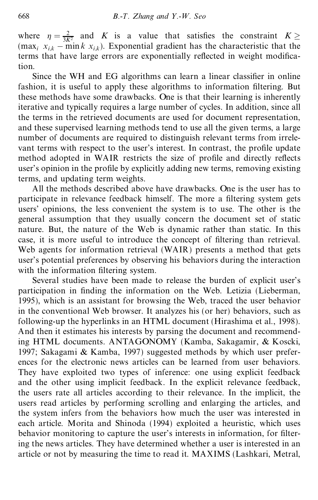where  $\eta = \frac{2}{3K^2}$  and *K* is a value that satisfies the constraint  $K \ge$  $(\max_i x_{i,k} - \min k x_{i,k})$ . Exponential gradient has the characteristic that the terms that have large errors are exponentially reflected in weight modification.

Since the WH and EG algorithms can learn a linear classifier in online fashion, it is useful to apply these algorithms to information filtering. But these methods have some drawbacks. One is that their learning is inherently iterative and typically requires a large number of cycles. In addition, since all the terms in the retrieved documents are used for document representation, and these supervised learning methods tend to use all the given terms, a large number of documents are required to distinguish relevant terms from irrele vant terms with respect to the user's interest. In contrast, the profile update method adopted in WAIR restricts the size of profile and directly reflects user's opinion in the profile by explicitly adding new terms, removing existing terms, and updating term weights.

All the methods described above have drawbacks. One is the user has to participate in relevance feedback himself. The more a filtering system gets users' opinions, the less convenient the system is to use. The other is the general assumption that they usually concern the document set of static nature. But, the nature of the Web is dynamic rather than static. In this case, it is more useful to introduce the concept of filtering than retrieval. Web agents for information retrieval (WAIR) presents a method that gets user's potential preferences by observing his behaviors during the interaction with the information filtering system.

Several studies have been made to release the burden of explicit user's participation in finding the information on the Web. Letizia (Lieberman, 1995), which is an assistant for browsing the Web, traced the user behavior in the conventional Web browser. It analyzes his (or her) behaviors, such as following-up the hyperlinks in an HTML document (Hirashima et al., 1998). And then it estimates his interests by parsing the document and recommending HTML documents. ANTAGONOMY (Kamba, Sakagamir, & Koscki, 1997; Sakagami & Kamba, 1997) suggested methods by which user prefer ences for the electronic news articles can be learned from user behaviors. They have exploited two types of inference: one using explicit feedback and the other using implicit feedback. In the explicit relevance feedback, the users rate all articles according to their relevance. In the implicit, the users read articles by performing scrolling and enlarging the articles, and the system infers from the behaviors how much the user was interested in each article. Morita and Shinoda (1994) exploited a heuristic, which uses behavior monitoring to capture the user's interests in information, for filtering the news articles. They have determined whether a user is interested in an article or not by measuring the time to read it. MAXIMS (Lashkari, Metral,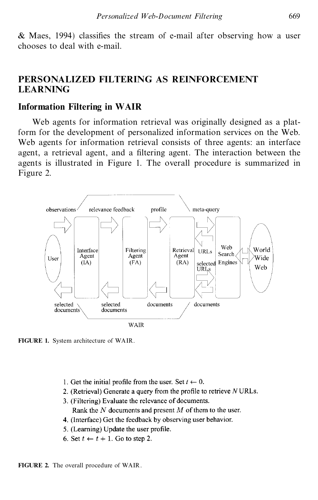# **PERSONALIZED FILTERING AS REINFORCEMENT LEARNING**

## **Information Filtering in WAIR**

Web agents for information retrieval was originally designed as a platform for the development of personalized information services on the Web. Web agents for information retrieval consists of three agents: an interface agent, a retrieval agent, and a filtering agent. The interaction between the agents is illustrated in Figure 1. The overall procedure is summarized in Figure 2.



**FIGURE 1.** System architecture of WAIR.

- 1. Get the initial profile from the user. Set  $t \leftarrow 0$ .
- 2. (Retrieval) Generate a query from the profile to retrieve NURLs.
- 3. (Filtering) Evaluate the relevance of documents. Rank the  $N$  documents and present  $M$  of them to the user.
- 4. (Interface) Get the feedback by observing user behavior.
- 5. (Learning) Update the user profile.
- 6. Set  $t \leftarrow t + 1$ . Go to step 2.

**FIGURE 2.** The overall procedure of WAIR.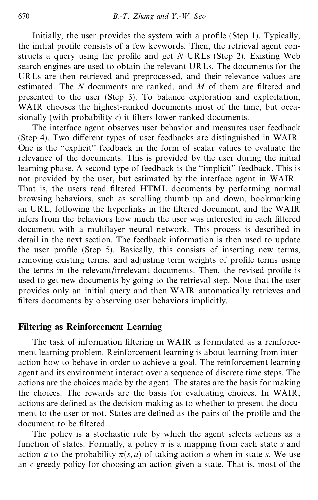Initially, the user provides the system with a profile (Step 1). Typically, the initial profile consists of a few keywords. Then, the retrieval agent constructs a query using the profile and get *N* URLs (Step 2). Existing Web search engines are used to obtain the relevant URLs. The documents for the URLs are then retrieved and preprocessed, and their relevance values are estimated. The *N* documents are ranked, and *M* of them are filtered and presented to the user (Step 3). To balance exploration and exploitation, WAIR chooses the highest-ranked documents most of the time, but occasionally (with probability  $\epsilon$ ) it filters lower-ranked documents.

The interface agent observes user behavior and measures user feedback (Step 4). Two different types of user feedbacks are distinguished in  $WAIR$ . One is the "explicit" feedback in the form of scalar values to evaluate the relevance of the documents. This is provided by the user during the initial learning phase. A second type of feedback is the "implicit" feedback. This is not provided by the user, but estimated by the interface agent in WAIR . That is, the users read filtered HTML documents by performing normal browsing behaviors, such as scrolling thumb up and down, bookmarking an URL, following the hyperlinks in the filtered document, and the WAIR infers from the behaviors how much the user was interested in each filtered document with a multilayer neural network. This process is described in detail in the next section. The feedback information is then used to update the user profile (Step 5). Basically, this consists of inserting new terms, removing existing terms, and adjusting term weights of profile terms using the terms in the relevant/irrelevant documents. Then, the revised profile is used to get new documents by going to the retrieval step. Note that the user provides only an initial query and then WAIR automatically retrieves and filters documents by observing user behaviors implicitly.

# **Filtering as Reinforcement Learning**

The task of information filtering in WAIR is formulated as a reinforcement learning problem. Reinforcement learning is about learning from inter action how to behave in order to achieve a goal. The reinforcement learning agent and its environment interact over a sequence of discrete time steps. The actions are the choices made by the agent. The states are the basis for making the choices. The rewards are the basis for evaluating choices. In WAIR, actions are defined as the decision-making as to whether to present the document to the user or not. States are defined as the pairs of the profile and the document to be filtered.

The policy is a stochastic rule by which the agent selects actions as a function of states. Formally, a policy  $\pi$  is a mapping from each state *s* and action *a* to the probability  $\pi(s, a)$  of taking action *a* when in state *s*. We use an  $\epsilon$ -greedy policy for choosing an action given a state. That is, most of the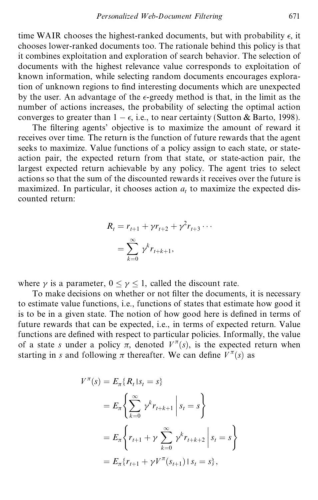time WAIR chooses the highest-ranked documents, but with probability  $\epsilon$ , it chooses lower-ranked documents too. The rationale behind this policy is that it combines exploitation and exploration of search behavior. The selection of documents with the highest relevance value corresponds to exploitation of known information, while selecting random documents encourages exploration of unknown regions to find interesting documents which are unexpected by the user. An advantage of the  $\epsilon$ -greedy method is that, in the limit as the number of actions increases, the probability of selecting the optimal action converges to greater than  $1 - \epsilon$ , i.e., to near certainty (Sutton & Barto, 1998).

The filtering agents' objective is to maximize the amount of reward it receives over time. The return is the function of future rewards that the agent seeks to maximize. Value functions of a policy assign to each state, or state action pair, the expected return from that state, or state-action pair, the largest expected return achievable by any policy. The agent tries to select actions so that the sum of the discounted rewards it receives over the future is maximized. In particular, it chooses action  $a_t$  to maximize the expected discounted return:

$$
R_{t} = r_{t+1} + \gamma r_{t+2} + \gamma^{2} r_{t+3} \cdots
$$
  
= 
$$
\sum_{k=0}^{\infty} \gamma^{k} r_{t+k+1},
$$

where  $\gamma$  is a parameter,  $0 \le \gamma \le 1$ , called the discount rate.<br>To make decisions on whether or not filter the documents, it is necessary to estimate value functions, i.e., functions of states that estimate how good it is to be in a given state. The notion of how good here is defined in terms of future rewards that can be expected, i.e., in terms of expected return. Value functions are defined with respect to particular policies. Informally, the value of a state *s* under a policy  $\pi$ , denoted  $V^{\pi}(s)$ , is the expected return when starting in *s* and following  $\pi$  thereafter. We can define  $V^{\pi}(s)$  as

$$
V^{\pi}(s) = E_{\pi} \{ R_t | s_t = s \}
$$
  
=  $E_{\pi} \left\{ \sum_{k=0}^{\infty} \gamma^k r_{t+k+1} | s_t = s \right\}$   
=  $E_{\pi} \left\{ r_{t+1} + \gamma \sum_{k=0}^{\infty} \gamma^k r_{t+k+2} | s_t = s \right\}$   
=  $E_{\pi} \{ r_{t+1} + \gamma V^{\pi}(s_{t+1}) | s_t = s \},$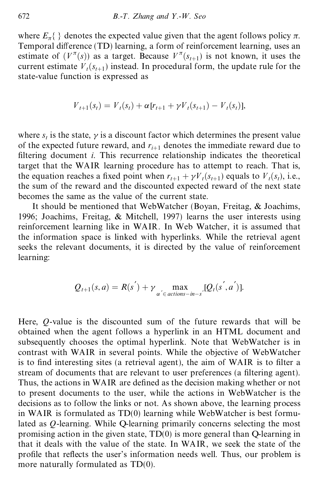where  $E_{\pi}$ { } denotes the expected value given that the agent follows policy  $\pi$ . Temporal difference (TD) learning, a form of reinforcement learning, uses an estimate of  $(V^{\pi}(s))$  as a target. Because  $V^{\pi}(s_{t+1})$  is not known, it uses the current estimate  $V_t(s_{t+1})$  instead. In procedural form, the update rule for the state-value function is expressed as

$$
V_{t+1}(s_t) = V_t(s_t) + \alpha [r_{t+1} + \gamma V_t(s_{t+1}) - V_t(s_t)],
$$

where  $s_t$  is the state,  $\gamma$  is a discount factor which determines the present value of the expected future reward, and  $r_{i+1}$  denotes the immediate reward due to filtering document *i*. This recurrence relationship indicates the theoretical target that the WAIR learning procedure has to attempt to reach. That is, the equation reaches a fixed point when  $r_{t+1} + \gamma V_t(s_{t+1})$  equals to  $V_t(s_t)$ , i.e., the sum of the reward and the discounted expected reward of the next state becomes the same as the value of the current state.

It should be mentioned that WebWatcher (Boyan, Freitag, & Joachims, 1996; Joachims, Freitag, & Mitchell, 1997) learns the user interests using reinforcement learning like in WAIR. In Web Watcher, it is assumed that the information space is linked with hyperlinks. While the retrieval agent seeks the relevant documents, it is directed by the value of reinforcement learning:

$$
Q_{t+1}(s,a) = R(s^{'}) + \gamma \max_{\alpha^{'} \in actions-in-s^{'}}[Q_{t}(s^{'},a^{'})].
$$

Here, *Q*-value is the discounted sum of the future rewards that will be obtained when the agent follows a hyperlink in an HTML document and subsequently chooses the optimal hyperlink. Note that WebWatcher is in contrast with WAIR in several points. While the objective of WebWatcher is to find interesting sites (a retrieval agent), the aim of WAIR is to filter a stream of documents that are relevant to user preferences (a filtering agent). Thus, the actions in WAIR are defined as the decision making whether or not to present documents to the user, while the actions in WebWatcher is the decisions as to follow the links or not. As shown above, the learning process in WAIR is formulated as  $TD(0)$  learning while WebWatcher is best formulated as *Q*-learning. While Q-learning primarily concerns selecting the most promising action in the given state, TD(0) is more general than Q-learning in that it deals with the value of the state. In WAIR, we seek the state of the profile that reflects the user's information needs well. Thus, our problem is more naturally formulated as TD(0).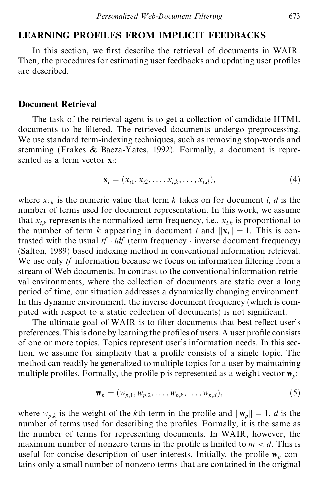## **LEARNING PROFILES FROM IMPLICIT FEEDBACKS**

In this section, we first describe the retrieval of documents in WAIR. Then, the procedures for estimating user feedbacks and updating user profiles are described.

#### **Document Retrieval**

The task of the retrieval agent is to get a collection of candidate HTML documents to be filtered. The retrieved documents undergo preprocessing. We use standard term-indexing techniques, such as removing stop-words and stemming (Frakes & Baeza-Yates, 1992). Formally, a document is repre sented as a term vector **x***i*:

$$
\mathbf{x}_{i} = (x_{i1}, x_{i2}, \dots, x_{i,k}, \dots, x_{i,d}),
$$
\n(4)

where  $x_{i,k}$  is the numeric value that term  $k$  takes on for document  $i, d$  is the number of terms used for document representation. In this work, we assume that  $x_{i,k}$  represents the normalized term frequency, i.e.,  $x_{i,k}$  is proportional to the number of term *k* appearing in document *i* and  $\|\mathbf{x}_i\| = 1$ . This is contrasted with the usual  $tf \cdot idf$  (term frequency  $\cdot$  inverse document frequency) (Salton, 1989) based indexing method in conventional information retrieval. We use only *tf* information because we focus on information filtering from a stream of Web documents. In contrast to the conventional information retrie val environments, where the collection of documents are static over a long period of time, our situation addresses a dynamically changing environment. In this dynamic environment, the inverse document frequency (which is com puted with respect to a static collection of documents) is not significant.

The ultimate goal of WAIR is to filter documents that best reflect user's preferences. This is done by learning the profiles of users. A user profile consists of one or more topics. Topics represent user's information needs. In this section, we assume for simplicity that a profile consists of a single topic. The method can readily he generalized to multiple topics for a user by maintaining multiple profiles. Formally, the profile p is represented as a weight vector  $\mathbf{w}_p$ :

$$
\mathbf{w}_p = (w_{p,1}, w_{p,2}, \dots, w_{p,k}, \dots, w_{p,d}),
$$
 (5)

where  $w_{p,k}$  is the weight of the *k*th term in the profile and  $\|\mathbf{w}_p\| = 1$ . *d* is the number of terms used for describing the profiles. Formally, it is the same as the number of terms for representing documents. In WAIR, however, the maximum number of nonzero terms in the profile is limited to  $m < d$ . This is useful for concise description of user interests. Initially, the profile  $w_p$  contains only a small number of nonzero terms that are contained in the original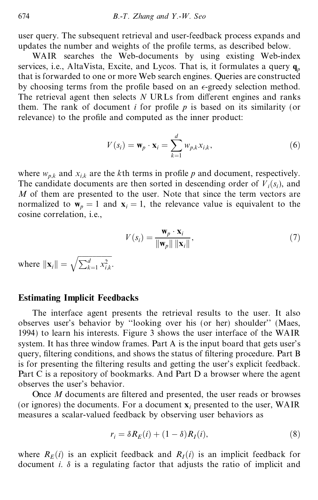user query. The subsequent retrieval and user-feedback process expands and updates the number and weights of the profile terms, as described below.

WAIR searches the Web-documents by using existing Web-index services, i.e., AltaVista, Excite, and Lycos. That is, it formulates a query  $q_p$ that is forwarded to one or more Web search engines. Queries are constructed by choosing terms from the profile based on an  $\epsilon$ -greedy selection method. The retrieval agent then selects  $N$  URLs from different engines and ranks them. The rank of document *i* for profile  $p$  is based on its similarity (or relevance) to the profile and computed as the inner product:

$$
V(s_i) = \mathbf{w}_p \cdot \mathbf{x}_i = \sum_{k=1}^d w_{p,k} x_{i,k},
$$
 (6)

where  $w_{p,k}$  and  $x_{i,k}$  are the *k*th terms in profile *p* and document, respectively. The candidate documents are then sorted in descending order of  $V_i(s_i)$ , and *M* of them are presented to the user. Note that since the term vectors are normalized to  $\mathbf{w}_p = 1$  and  $\mathbf{x}_i = 1$ , the relevance value is equivalent to the cosine correlation, i.e.,

$$
V(s_i) = \frac{\mathbf{w}_p \cdot \mathbf{x}_i}{\|\mathbf{w}_p\| \|\mathbf{x}_i\|},\tag{7}
$$

where  $\|\mathbf{x}_i\| = \sqrt{\sum_{k=1}^d x_{i,k}^2}$ .

### **Estimating Implicit Feedbacks**

The interface agent presents the retrieval results to the user. It also observes user's behavior by "looking over his (or her) shoulder" (Maes, 1994) to learn his interests. Figure 3 shows the user interface of the WAIR system. It has three window frames. Part A is the input board that gets user's query, filtering conditions, and shows the status of filtering procedure. Part B is for presenting the filtering results and getting the user's explicit feedback. Part C is a repository of bookmarks. And Part D a browser where the agent observes the user's behavior.

Once *M* documents are filtered and presented, the user reads or browses (or ignores) the documents. For a document **x***<sup>i</sup>* presented to the user, WAIR measures a scalar-valued feedback by observing user behaviors as

$$
r_i = \delta R_E(i) + (1 - \delta)R_I(i),\tag{8}
$$

where  $R_E(i)$  is an explicit feedback and  $R_I(i)$  is an implicit feedback for document  $i$ .  $\delta$  is a regulating factor that adjusts the ratio of implicit and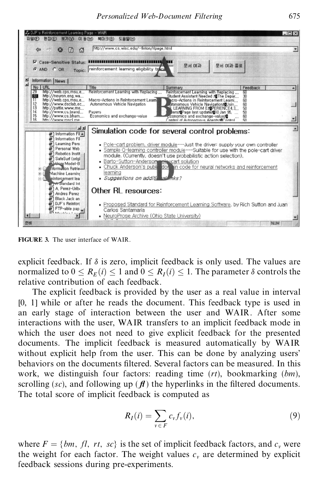

**FIGURE 3.** The user interface of WAIR.

explicit feedback. If  $\delta$  is zero, implicit feedback is only used. The values are normalized to  $0 \le R_F(i) \le 1$  and  $0 \le R_I(i) \le 1$ . The parameter  $\delta$  controls the relative contribution of each feedback.

The explicit feedback is provided by the user as a real value in interval [0, 1] while or after he reads the document. This feedback type is used in an early stage of interaction between the user and WAIR. After some interactions with the user, WAIR transfers to an implicit feedback mode in which the user does not need to give explicit feedback for the presented documents. The implicit feedback is measured automatically by WAIR without explicit help from the user. This can be done by analyzing users' behaviors on the documents filtered. Several factors can be measured. In this work, we distinguish four factors: reading time (*rt*), bookmarking (*bm*), scrolling ( $sc$ ), and following up ( $\bf{\hat{H}}$ ) the hyperlinks in the filtered documents. The total score of implicit feedback is computed as

$$
R_I(i) = \sum_{v \in F} c_v f_v(i), \qquad (9)
$$

where  $F = \{bm, f\}$ , *fl*, *rt*, *sc*} is the set of implicit feedback factors, and  $c_v$  were the weight for each factor. The weight values  $c<sub>v</sub>$  are determined by explicit feedback sessions during pre-experiments.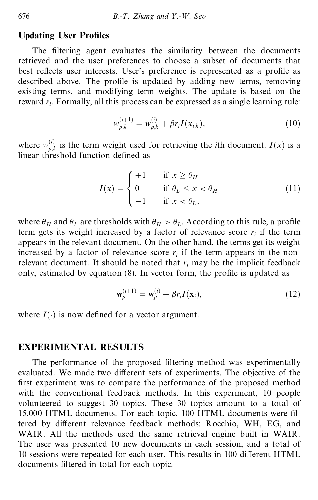## **Updating User Profiles**

The filtering agent evaluates the similarity between the documents retrieved and the user preferences to choose a subset of documents that best reflects user interests. User's preference is represented as a profile as described above. The profile is updated by adding new terms, removing existing terms, and modifying term weights. The update is based on the reward  $r_i$ . Formally, all this process can be expressed as a single learning rule:

$$
w_{p,k}^{(i+1)} = w_{p,k}^{(i)} + \beta r_i I(x_{i,k}),
$$
\n(10)

where  $w_{p,k}^{(i)}$  is the term weight used for retrieving the *i*th document.  $I(x)$  is a linear threshold function defined as

$$
I(x) = \begin{cases} +1 & \text{if } x \ge \theta_H \\ 0 & \text{if } \theta_L \le x < \theta_H \\ -1 & \text{if } x < \theta_L, \end{cases} \tag{11}
$$

where  $\theta_H$  and  $\theta_L$  are thresholds with  $\theta_H > \theta_L$ . According to this rule, a profile term gets its weight increased by a factor of relevance score  $r_i$  if the term appears in the relevant document. On the other hand, the terms get its weight increased by a factor of relevance score  $r_i$  if the term appears in the nonrelevant document. It should be noted that *r<sup>i</sup>* may be the implicit feedback only, estimated by equation  $(8)$ . In vector form, the profile is updated as

$$
\mathbf{w}_p^{(i+1)} = \mathbf{w}_p^{(i)} + \beta r_i I(\mathbf{x}_i),\tag{12}
$$

where  $I(\cdot)$  is now defined for a vector argument.

### **EXPERIMENTAL RESULTS**

The performance of the proposed filtering method was experimentally evaluated. We made two different sets of experiments. The objective of the first experiment was to compare the performance of the proposed method with the conventional feedback methods. In this experiment, 10 people volunteered to suggest 30 topics. These 30 topics amount to a total of 15,000 HTML documents. For each topic, 100 HTML documents were filtered by different relevance feedback methods: Rocchio, WH, EG, and WAIR. All the methods used the same retrieval engine built in WAIR. The user was presented 10 new documents in each session, and a total of 10 sessions were repeated for each user. This results in 100 different HTML documents filtered in total for each topic.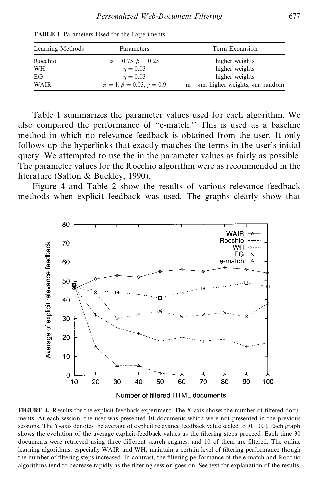| Learning Methods | Parameters                               | Term Expansion                                           |
|------------------|------------------------------------------|----------------------------------------------------------|
| <b>R</b> occhio  | $\alpha = 0.75, \beta = 0.25$            | higher weights                                           |
| WH               | $n = 0.03$                               | higher weights                                           |
| EG               | $n = 0.03$                               | higher weights                                           |
| WAIR             | $\alpha = 1, \beta = 0.03, \gamma = 0.9$ | $m - \epsilon m$ : higher weights, $\epsilon m$ : random |

**TABLE 1** Parameters Used for the Experiments

Table 1 summarizes the parameter values used for each algorithm. We also compared the performance of "e-match." This is used as a baseline method in which no relevance feedback is obtained from the user. It only follows up the hyperlinks that exactly matches the terms in the user's initial query. We attempted to use the in the parameter values as fairly as possible. The parameter values for the Rocchio algorithm were as recommended in the literature (Salton & Buckley, 1990).

Figure 4 and Table 2 show the results of various relevance feedback methods when explicit feedback was used. The graphs clearly show that



**FIGURE 4.** Results for the explicit feedback experiment. The X-axis shows the number of filtered documents. At each session, the user was presented 10 documents which were not presented in the previous sessions. The Y-axis denotes the average of explicit relevance feedback value scaled to [0, 100]. Each graph shows the evolution of the average explicit-feedback values as the filtering steps proceed. Each time 30 documents were retrieved using three different search engines, and 10 of them are filtered. The online learning algorithms, especially WAIR and WH, maintain a certain level of filtering performance though the number of filtering steps increased. In contrast, the filtering performance of the e-match and Rocchio algorithms tend to decrease rapidly as the filtering session goes on. See text for explanation of the results.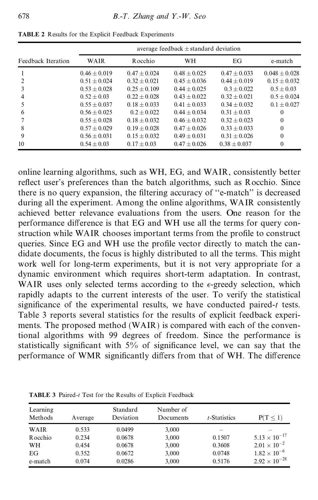|                    | average feedback $\pm$ standard deviation |                |                |                |                 |
|--------------------|-------------------------------------------|----------------|----------------|----------------|-----------------|
| Feedback Iteration | WAIR                                      | R occhio       | <b>WH</b>      | EG             | e-match         |
|                    | $0.46 + 0.019$                            | $0.47 + 0.024$ | $0.48 + 0.025$ | $0.47 + 0.033$ | $0.048 + 0.028$ |
|                    | $0.51 + 0.024$                            | $0.32 + 0.021$ | $0.45 + 0.036$ | $0.44 + 0.019$ | $0.15 + 0.032$  |
|                    | $0.53 + 0.028$                            | $0.25 + 0.109$ | $0.44 + 0.025$ | $0.3 + 0.022$  | $0.5 + 0.03$    |
| 4                  | $0.52 + 0.03$                             | $0.22 + 0.028$ | $0.43 + 0.022$ | $0.32 + 0.021$ | $0.5 + 0.024$   |
|                    | $0.55 + 0.037$                            | $0.18 + 0.033$ | $0.41 + 0.033$ | $0.34 + 0.032$ | $0.1 + 0.027$   |
| 6                  | $0.56 + 0.025$                            | $0.2 + 0.022$  | $0.44 + 0.034$ | $0.31 + 0.03$  | $\theta$        |
|                    | $0.55 + 0.028$                            | $0.18 + 0.032$ | $0.46 + 0.032$ | $0.32 + 0.023$ | $\theta$        |
| 8                  | $0.57 + 0.029$                            | $0.19 + 0.028$ | $0.47 + 0.026$ | $0.33 + 0.033$ | $\theta$        |
| 9                  | $0.56 + 0.031$                            | $0.15 + 0.032$ | $0.49 + 0.031$ | $0.31 + 0.026$ | $\theta$        |
| 10                 | $0.54 + 0.03$                             | $0.17 + 0.03$  | $0.47 + 0.026$ | $0.38 + 0.037$ | $\Omega$        |

**TABLE 2** Results for the Explicit Feedback Experiments

online learning algorithms, such as WH, EG, and WAIR, consistently better reflect user's preferences than the batch algorithms, such as Rocchio. Since there is no query expansion, the filtering accuracy of "e-match" is decreased during all the experiment. Among the online algorithms, WAIR consistently achieved better relevance evaluations from the users. One reason for the performance difference is that EG and WH use all the terms for query construction while WAIR chooses important terms from the profile to construct queries. Since EG and WH use the profile vector directly to match the candidate documents, the focus is highly distributed to all the terms. This might work well for long-term experiments, but it is not very appropriate for a dynamic environment which requires short-term adaptation. In contrast, WAIR uses only selected terms according to the  $\epsilon$ -greedy selection, which rapidly adapts to the current interests of the user. To verify the statistical significance of the experimental results, we have conducted paired- $t$  tests. Table 3 reports several statistics for the results of explicit feedback experi ments. The proposed method (WAIR) is compared with each of the conventional algorithms with 99 degrees of freedom. Since the performance is statistically significant with  $5\%$  of significance level, we can say that the performance of WMR significantly differs from that of WH. The difference

| Learning<br>Methods | Average | Standard<br>Deviation | Number of<br>Documents | $t$ -Statistics | $P(T \leq 1)$          |
|---------------------|---------|-----------------------|------------------------|-----------------|------------------------|
| WAIR                | 0.533   | 0.0499                | 3,000                  |                 |                        |
| Rocchio             | 0.234   | 0.0678                | 3,000                  | 0.1507          | $5.13 \times 10^{-17}$ |
| WH                  | 0.454   | 0.0678                | 3,000                  | 0.3608          | $2.01 \times 10^{-2}$  |
| EG                  | 0.352   | 0.0672                | 3,000                  | 0.0748          | $1.82 \times 10^{-6}$  |
| e-match             | 0.074   | 0.0286                | 3,000                  | 0.5176          | $2.92 \times 10^{-28}$ |

**TABLE 3** Paired-*t* Test for the Results of Explicit Feedback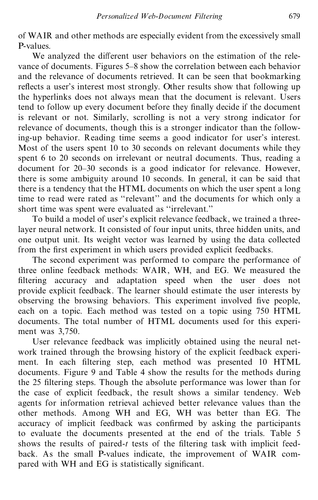of WAIR and other methods are especially evident from the excessively small P-values.

We analyzed the different user behaviors on the estimation of the relevance of documents. Figures 5–8 show the correlation between each behavior and the relevance of documents retrieved. It can be seen that bookmarking reflects a user's interest most strongly. Other results show that following up the hyperlinks does not always mean that the document is relevant. Users tend to follow up every document before they finally decide if the document is relevant or not. Similarly, scrolling is not a very strong indicator for relevance of documents, though this is a stronger indicator than the following-up behavior. Reading time seems a good indicator for user's interest. Most of the users spent 10 to 30 seconds on relevant documents while they spent 6 to 20 seconds on irrelevant or neutral documents. Thus, reading a document for 20–30 seconds is a good indicator for relevance. However, there is some ambiguity around 10 seconds. In general, it can be said that there is a tendency that the HTML documents on which the user spent a long time to read were rated as "relevant" and the documents for which only a short time was spent were evaluated as "irrelevant."

To build a model of user's explicit relevance feedback, we trained a threelayer neural network. It consisted of four input units, three hidden units, and one output unit. Its weight vector was learned by using the data collected from the first experiment in which users provided explicit feedbacks.

The second experiment was performed to compare the performance of three online feedback methods: WAIR, WH, and EG. We measured the filtering accuracy and adaptation speed when the user does not provide explicit feedback. The learner should estimate the user interests by observing the browsing behaviors. This experiment involved five people, each on a topic. Each method was tested on a topic using 750 HTML documents. The total number of HTML documents used for this experi ment was 3,750.

User relevance feedback was implicitly obtained using the neural net work trained through the browsing history of the explicit feedback experi ment. In each filtering step, each method was presented 10 HTML documents. Figure 9 and Table 4 show the results for the methods during the 25 filtering steps. Though the absolute performance was lower than for the case of explicit feedback, the result shows a similar tendency. Web agents for information retrieval achieved better relevance values than the other methods. Among WH and EG, WH was better than EG. The accuracy of implicit feedback was confirmed by asking the participants to evaluate the documents presented at the end of the trials. Table 5 shows the results of paired- $t$  tests of the filtering task with implicit feedback. As the small P-values indicate, the improvement of WAIR com pared with WH and EG is statistically significant.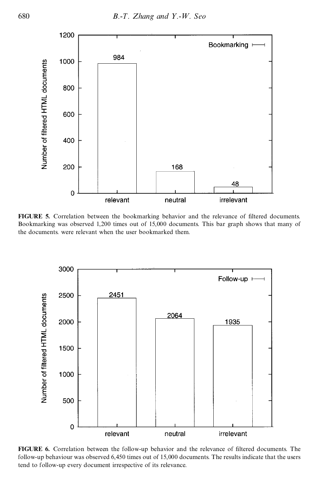

**FIGURE 5.** Correlation between the bookmarking behavior and the relevance of filtered documents. Bookmarking was observed 1,200 times out of 15,000 documents. This bar graph shows that many of the documents. were relevant when the user bookmarked them.



FIGURE 6. Correlation between the follow-up behavior and the relevance of filtered documents. The follow-up behaviour was observed 6,450 times out of 15,000 documents. The results indicate that the users tend to follow-up every document irrespective of its relevance.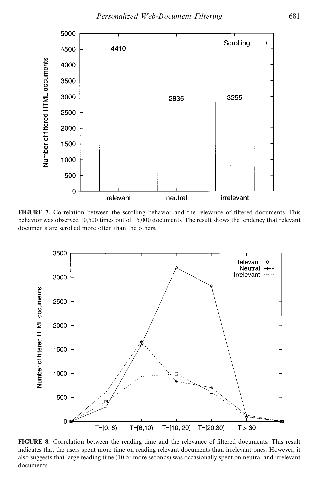

**FIGURE** 7. Correlation between the scrolling behavior and the relevance of filtered documents. This behavior was observed 10,500 times out of 15,000 documents. The result shows the tendency that relevant documents are scrolled more often than the others.



FIGURE 8. Correlation between the reading time and the relevance of filtered documents. This result indicates that the users spent more time on reading relevant documents than irrelevant ones. However, it also suggests that large reading time (10 or more seconds) was occasionally spent on neutral and irrelevant documents.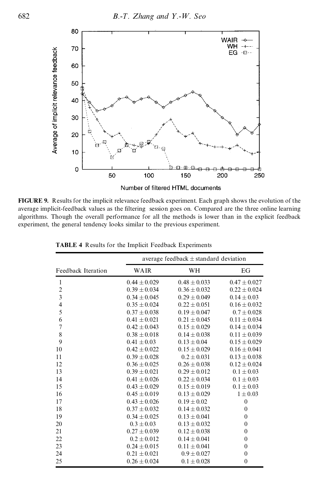

**FIGURE 9.** Results for the implicit relevance feedback experiment. Each graph shows the evolution of the average implicit-feedback values as the filtering session goes on. Compared are the three online learning algorithms. Though the overall performance for all the methods is lower than in the explicit feedback experiment, the general tendency looks similar to the previous experiment.

|                         | average feedback $\pm$ standard deviation |                  |                  |  |
|-------------------------|-------------------------------------------|------------------|------------------|--|
| Feedback Iteration      | WAIR                                      | WH               | EG               |  |
| 1                       | $0.44 \pm 0.029$                          | $0.48 \pm 0.033$ | $0.47 + 0.027$   |  |
| $\overline{2}$          | $0.39 \pm 0.034$                          | $0.36 \pm 0.032$ | $0.22 \pm 0.024$ |  |
| $\overline{\mathbf{3}}$ | $0.34 + 0.045$                            | $0.29 + 0.049$   | $0.14 + 0.03$    |  |
| $\overline{\mathbf{4}}$ | $0.35 \pm 0.024$                          | $0.22 \pm 0.051$ | $0.16 \pm 0.032$ |  |
| 5                       | $0.37 \pm 0.038$                          | $0.19 + 0.047$   | $0.7 \pm 0.028$  |  |
| 6                       | $0.41 \pm 0.021$                          | $0.21 \pm 0.045$ | $0.11 \pm 0.034$ |  |
| $\overline{7}$          | $0.42 \pm 0.043$                          | $0.15 \pm 0.029$ | $0.14 \pm 0.034$ |  |
| 8                       | $0.38 + 0.018$                            | $0.14 + 0.038$   | $0.11 + 0.039$   |  |
| 9                       | $0.41 + 0.03$                             | $0.13 \pm 0.04$  | $0.15 \pm 0.029$ |  |
| 10                      | $0.42 \pm 0.022$                          | $0.15 \pm 0.029$ | $0.16 + 0.041$   |  |
| 11                      | $0.39 \pm 0.028$                          | $0.2 \pm 0.031$  | $0.13 \pm 0.038$ |  |
| 12                      | $0.36 \pm 0.025$                          | $0.26 \pm 0.038$ | $0.12 + 0.024$   |  |
| 13                      | $0.39 \pm 0.021$                          | $0.29 \pm 0.012$ | $0.1 \pm 0.03$   |  |
| 14                      | $0.41 + 0.026$                            | $0.22 + 0.034$   | $0.1 + 0.03$     |  |
| 15                      | $0.43 \pm 0.029$                          | $0.15 \pm 0.019$ | $0.1 \pm 0.03$   |  |
| 16                      | $0.45 \pm 0.019$                          | $0.13 \pm 0.029$ | $1 \pm 0.03$     |  |
| 17                      | $0.43 \pm 0.026$                          | $0.19 \pm 0.02$  | $\overline{0}$   |  |
| 18                      | $0.37 \pm 0.032$                          | $0.14 + 0.032$   | $\mathbf{0}$     |  |
| 19                      | $0.34 + 0.025$                            | $0.13 + 0.041$   | $\mathbf{0}$     |  |
| 20                      | $0.3 \pm 0.03$                            | $0.13 \pm 0.032$ | $\mathbf{0}$     |  |
| 21                      | $0.27 \pm 0.039$                          | $0.12 \pm 0.038$ | $\mathbf{0}$     |  |
| 22                      | $0.2 + 0.012$                             | $0.14 + 0.041$   | $\mathbf{0}$     |  |
| 23                      | $0.24 \pm 0.015$                          | $0.11 \pm 0.041$ | $\boldsymbol{0}$ |  |
| 24                      | $0.21 + 0.021$                            | $0.9 + 0.027$    | $\mathbf{0}$     |  |
| 25                      | $0.26 \pm 0.024$                          | $0.1 \pm 0.028$  | $\mathbf{0}$     |  |

**TABLE 4** Results for the Implicit Feedback Experiments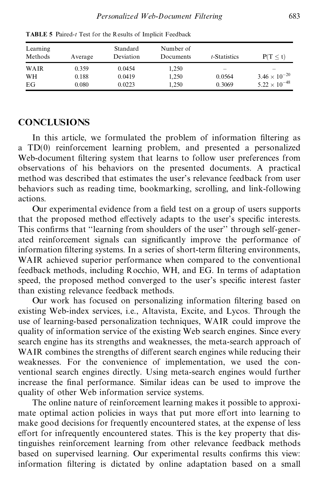| Learning<br>Methods | Average | Standard<br>Deviation | Number of<br>Documents | t-Statistics             | P(T < t)                 |
|---------------------|---------|-----------------------|------------------------|--------------------------|--------------------------|
| WAIR                | 0.359   | 0.0454                | 1,250                  | $\overline{\phantom{a}}$ | $\overline{\phantom{a}}$ |
| WH                  | 0.188   | 0.0419                | 1,250                  | 0.0564                   | $3.46 \times 10^{-20}$   |
| EG                  | 0.080   | 0.0223                | 1.250                  | 0.3069                   | $5.22 \times 10^{-48}$   |

**TABLE 5** Paired-*t* Test for the Results of Implicit Feedback

#### **CONCLUSIONS**

In this article, we formulated the problem of information filtering as a TD(0) reinforcement learning problem, and presented a personalized Web-document filtering system that learns to follow user preferences from observations of his behaviors on the presented documents. A practical method was described that estimates the user's relevance feedback from user behaviors such as reading time, bookmarking, scrolling, and link-following actions.

Our experimental evidence from a field test on a group of users supports that the proposed method effectively adapts to the user's specific interests. This confirms that "learning from shoulders of the user" through self-generated reinforcement signals can significantly improve the performance of information filtering systems. In a series of short-term filtering environments, WAIR achieved superior performance when compared to the conventional feedback methods, including Rocchio, WH, and EG. In terms of adaptation speed, the proposed method converged to the user's specific interest faster than existing relevance feedback methods.

Our work has focused on personalizing information filtering based on existing Web-index services, i.e., Altavista, Excite, and Lycos. Through the use of learning-based personalization techniques, WAIR could improve the quality of information service of the existing Web search engines. Since every search engine has its strengths and weaknesses, the meta-search approach of WAIR combines the strengths of different search engines while reducing their weaknesses. For the convenience of implementation, we used the con ventional search engines directly. Using meta-search engines would further increase the final performance. Similar ideas can be used to improve the quality of other Web information service systems.

The online nature of reinforcement learning makes it possible to approxi mate optimal action policies in ways that put more effort into learning to make good decisions for frequently encountered states, at the expense of less effort for infrequently encountered states. This is the key property that distinguishes reinforcement learning from other relevance feedback methods based on supervised learning. Our experimental results confirms this view: information filtering is dictated by online adaptation based on a small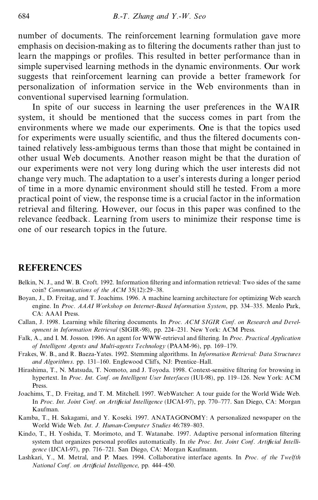number of documents. The reinforcement learning formulation gave more emphasis on decision-making as to filtering the documents rather than just to learn the mappings or profiles. This resulted in better performance than in simple supervised learning methods in the dynamic environments. Our work suggests that reinforcement learning can provide a better framework for personalization of information service in the Web environments than in conventional supervised learning formulation.

In spite of our success in learning the user preferences in the WAIR system, it should be mentioned that the success comes in part from the environments where we made our experiments. One is that the topics used for experiments were usually scientific, and thus the filtered documents contained relatively less-ambiguous terms than those that might be contained in other usual Web documents. Another reason might be that the duration of our experiments were not very long during which the user interests did not change very much. The adaptation to a user's interests during a longer period of time in a more dynamic environment should still he tested. From a more practical point of view, the response time is a crucial factor in the information retrieval and filtering. However, our focus in this paper was confined to the relevance feedback. Learning from users to minimize their response time is one of our research topics in the future.

#### **REFERENCES**

- Belkin, N. J., and W. B. Croft. 1992. Information filtering and information retrieval: Two sides of the same coin? *Communications of the ACM* 35(12):29-38.
- Boyan, J., D. Freitag, and T. Joachims. 1996. A machine learning architecture for optimizing Web search engine. In *Proc. AAAI W orkshop on Internet-Based Information System*, pp. 334±335. Menlo Park, CA: AAAI Press.
- Callan, J. 1998. Learning while filtering documents. In *Proc. ACM SIGIR Conf. on Research and Development in Information Retrieval* (SIGIR-98), pp. 224-231. New York: ACM Press.
- Falk, A., and I. M. Josson. 1996. An agent for WWW-retrieval and filtering. In *Proc. Practical Application of Intelligent Agents and Multi-agents Technology* (PAAM-96), pp. 169-179.
- Frakes, W. B., and R. Baeza-Yates. 1992. Stemming algorithms. In *Information Retrieval: Data Structures and Algorithms*. pp. 131-160. Englewood Cliffs, NJ: Prentice-Hall.
- Hirashima, T., N. Matsuda, T. Nomoto, and J. Toyoda. 1998. Context-sensitive filtering for browsing in hypertext. In *Proc. Int. Conf. on Intelligent User Interfaces* (IUI-98), pp. 119-126. New York: ACM **Press**.
- Joachims, T., D. Freitag, and T. M. Mitchell. 1997. WebWatcher: A tour guide for the World Wide Web. In *Proc. Int. Joint Conf. on Artificial Intelligence* (IJCAI-97), pp. 770-777. San Diego, CA: Morgan Kaufman.
- Kamba, T., H. Sakagami, and Y. Koseki. 1997. ANATAGONOMY: A personalized newspaper on the World Wide Web. Int. J. Human-Computer Studies 46:789-803.
- Kindo, T., H. Yoshida, T. Morimoto, and T. Watanabe. 1997. Adaptive personal information filtering system that organizes personal profiles automatically. In *the Proc. Int. Joint Conf. Artificial Intelli*gence (IJCAI-97), pp. 716-721. San Diego, CA: Morgan Kaufmann.
- Lashkari, Y., M. Metral, and P. Maes. 1994. Collaborative interface agents. In *Proc. of the Twelfth National Conf. on Artificial Intelligence*, pp. 444-450.